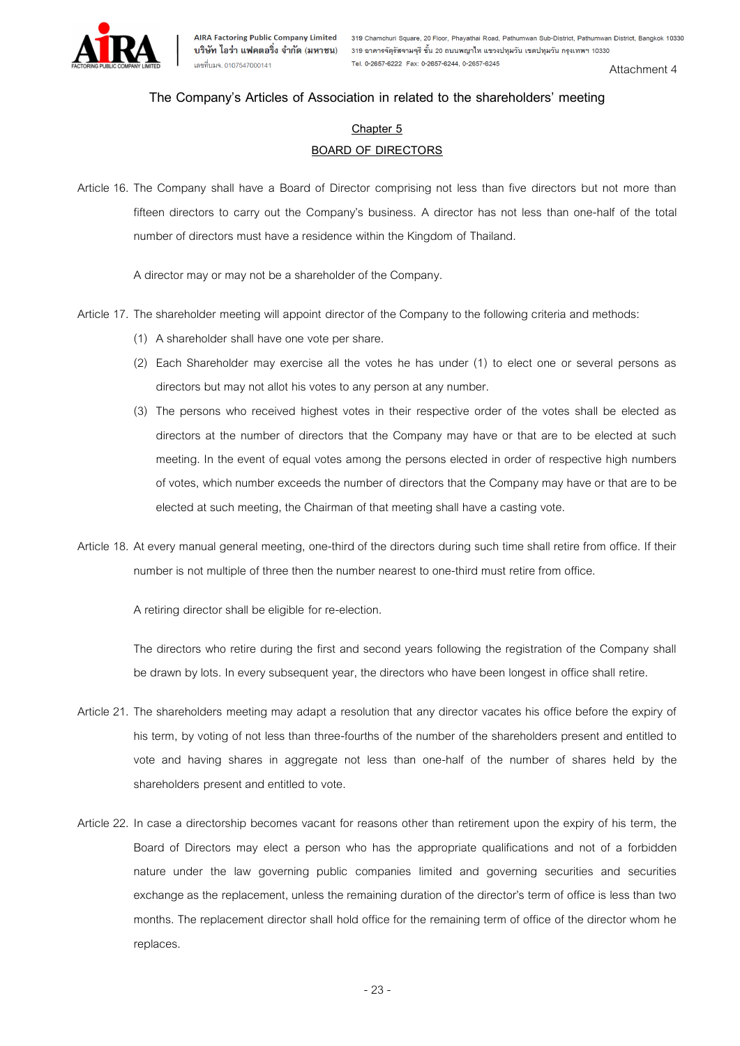

### **The Company's Articles of Association in related to the shareholders' meeting**

### **Chapter 5 BOARD OF DIRECTORS**

Article 16. The Company shall have a Board of Director comprising not less than five directors but not more than fifteen directors to carry out the Company's business. A director has not less than one-half of the total number of directors must have a residence within the Kingdom of Thailand.

A director may or may not be a shareholder of the Company.

- Article 17. The shareholder meeting will appoint director of the Company to the following criteria and methods:
	- (1) A shareholder shall have one vote per share.
	- (2) Each Shareholder may exercise all the votes he has under (1) to elect one or several persons as directors but may not allot his votes to any person at any number.
	- (3) The persons who received highest votes in their respective order of the votes shall be elected as directors at the number of directors that the Company may have or that are to be elected at such meeting. In the event of equal votes among the persons elected in order of respective high numbers of votes, which number exceeds the number of directors that the Company may have or that are to be elected at such meeting, the Chairman of that meeting shall have a casting vote.
- Article 18. At every manual general meeting, one-third of the directors during such time shall retire from office. If their number is not multiple of three then the number nearest to one-third must retire from office.

A retiring director shall be eligible for re-election.

The directors who retire during the first and second years following the registration of the Company shall be drawn by lots. In every subsequent year, the directors who have been longest in office shall retire.

- Article 21. The shareholders meeting may adapt a resolution that any director vacates his office before the expiry of his term, by voting of not less than three-fourths of the number of the shareholders present and entitled to vote and having shares in aggregate not less than one-half of the number of shares held by the shareholders present and entitled to vote.
- Article 22. In case a directorship becomes vacant for reasons other than retirement upon the expiry of his term, the Board of Directors may elect a person who has the appropriate qualifications and not of a forbidden nature under the law governing public companies limited and governing securities and securities exchange as the replacement, unless the remaining duration of the director's term of office is less than two months. The replacement director shall hold office for the remaining term of office of the director whom he replaces.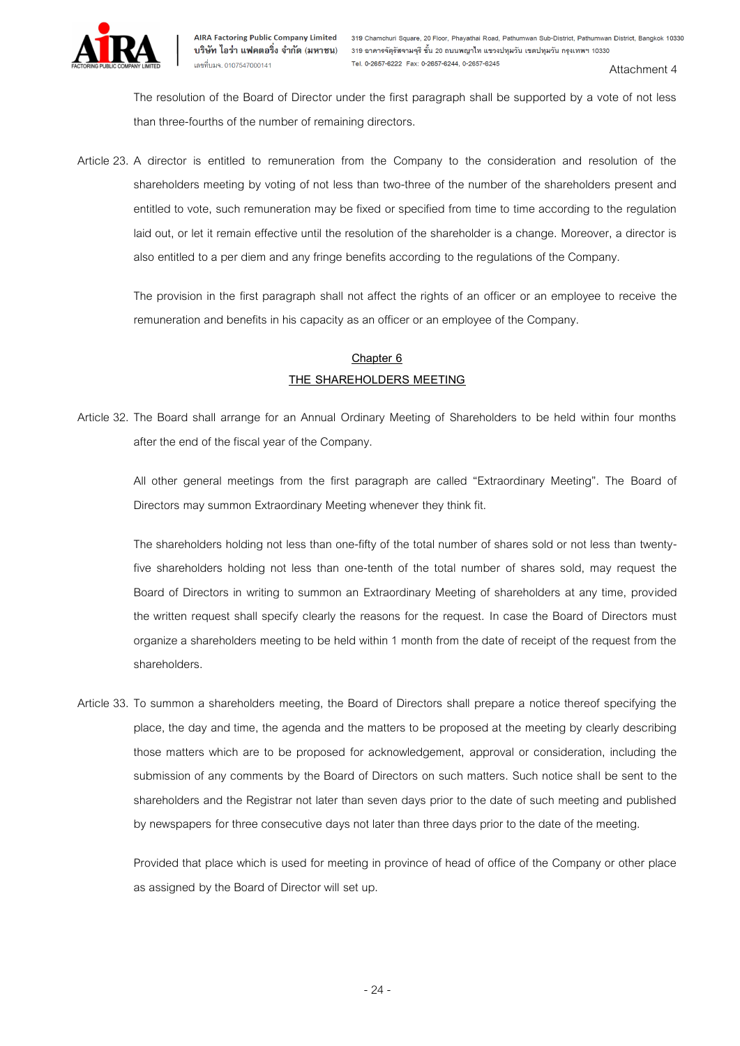

Attachment 4

The resolution of the Board of Director under the first paragraph shall be supported by a vote of not less than three-fourths of the number of remaining directors.

Article 23. A director is entitled to remuneration from the Company to the consideration and resolution of the shareholders meeting by voting of not less than two-three of the number of the shareholders present and entitled to vote, such remuneration may be fixed or specified from time to time according to the regulation laid out, or let it remain effective until the resolution of the shareholder is a change. Moreover, a director is also entitled to a per diem and any fringe benefits according to the regulations of the Company.

The provision in the first paragraph shall not affect the rights of an officer or an employee to receive the remuneration and benefits in his capacity as an officer or an employee of the Company.

## **Chapter 6 THE SHAREHOLDERS MEETING**

Article 32. The Board shall arrange for an Annual Ordinary Meeting of Shareholders to be held within four months after the end of the fiscal year of the Company.

All other general meetings from the first paragraph are called "Extraordinary Meeting". The Board of Directors may summon Extraordinary Meeting whenever they think fit.

The shareholders holding not less than one-fifty of the total number of shares sold or not less than twentyfive shareholders holding not less than one-tenth of the total number of shares sold, may request the Board of Directors in writing to summon an Extraordinary Meeting of shareholders at any time, provided the written request shall specify clearly the reasons for the request. In case the Board of Directors must organize a shareholders meeting to be held within 1 month from the date of receipt of the request from the shareholders.

Article 33. To summon a shareholders meeting, the Board of Directors shall prepare a notice thereof specifying the place, the day and time, the agenda and the matters to be proposed at the meeting by clearly describing those matters which are to be proposed for acknowledgement, approval or consideration, including the submission of any comments by the Board of Directors on such matters. Such notice shall be sent to the shareholders and the Registrar not later than seven days prior to the date of such meeting and published by newspapers for three consecutive days not later than three days prior to the date of the meeting.

Provided that place which is used for meeting in province of head of office of the Company or other place as assigned by the Board of Director will set up.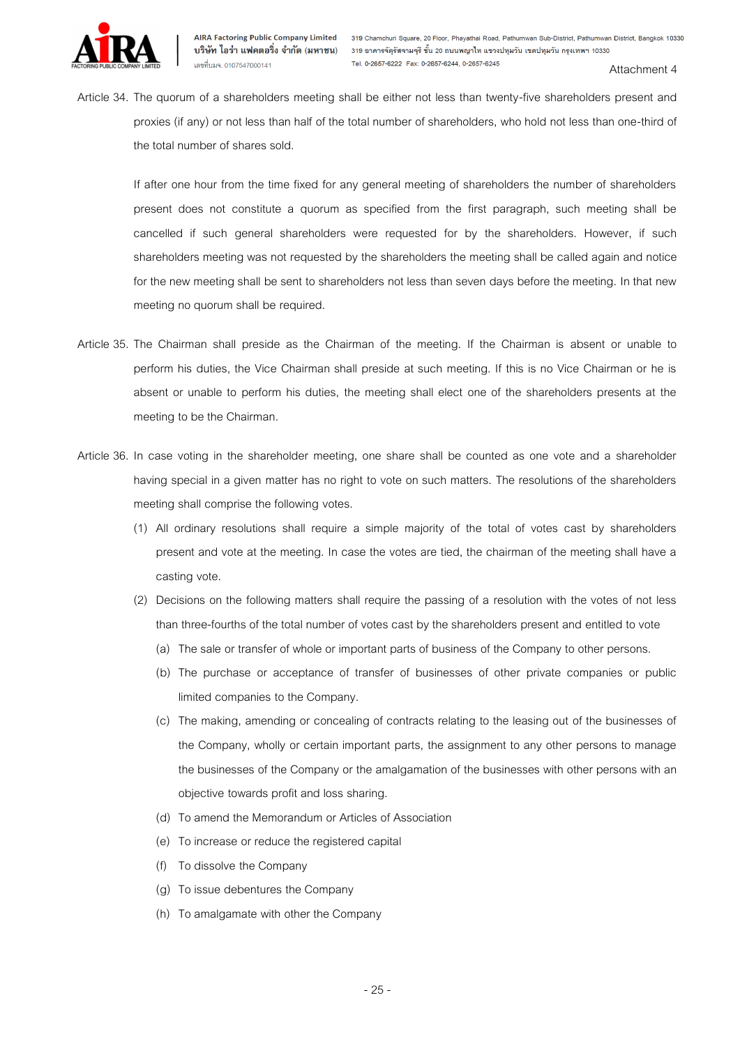

Article 34. The quorum of a shareholders meeting shall be either not less than twenty-five shareholders present and proxies (if any) or not less than half of the total number of shareholders, who hold not less than one-third of the total number of shares sold.

If after one hour from the time fixed for any general meeting of shareholders the number of shareholders present does not constitute a quorum as specified from the first paragraph, such meeting shall be cancelled if such general shareholders were requested for by the shareholders. However, if such shareholders meeting was not requested by the shareholders the meeting shall be called again and notice for the new meeting shall be sent to shareholders not less than seven days before the meeting. In that new meeting no quorum shall be required.

- Article 35. The Chairman shall preside as the Chairman of the meeting. If the Chairman is absent or unable to perform his duties, the Vice Chairman shall preside at such meeting. If this is no Vice Chairman or he is absent or unable to perform his duties, the meeting shall elect one of the shareholders presents at the meeting to be the Chairman.
- Article 36. In case voting in the shareholder meeting, one share shall be counted as one vote and a shareholder having special in a given matter has no right to vote on such matters. The resolutions of the shareholders meeting shall comprise the following votes.
	- (1) All ordinary resolutions shall require a simple majority of the total of votes cast by shareholders present and vote at the meeting. In case the votes are tied, the chairman of the meeting shall have a casting vote.
	- (2) Decisions on the following matters shall require the passing of a resolution with the votes of not less than three-fourths of the total number of votes cast by the shareholders present and entitled to vote
		- (a) The sale or transfer of whole or important parts of business of the Company to other persons.
		- (b) The purchase or acceptance of transfer of businesses of other private companies or public limited companies to the Company.
		- (c) The making, amending or concealing of contracts relating to the leasing out of the businesses of the Company, wholly or certain important parts, the assignment to any other persons to manage the businesses of the Company or the amalgamation of the businesses with other persons with an objective towards profit and loss sharing.
		- (d) To amend the Memorandum or Articles of Association
		- (e) To increase or reduce the registered capital
		- (f) To dissolve the Company
		- (g) To issue debentures the Company
		- (h) To amalgamate with other the Company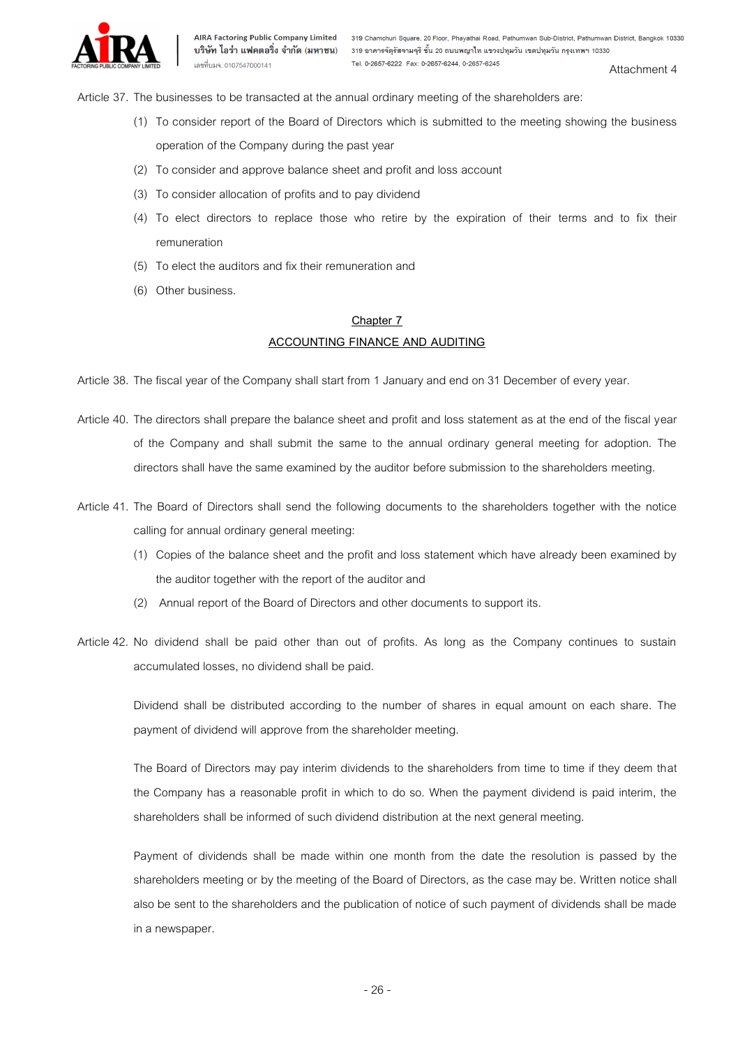

Attachment 4

Article 37. The businesses to be transacted at the annual ordinary meeting of the shareholders are:

- (1) To consider report of the Board of Directors which is submitted to the meeting showing the business operation of the Company during the past year
- (2) To consider and approve balance sheet and profit and loss account
- (3) To consider allocation of profits and to pay dividend
- (4) To elect directors to replace those who retire by the expiration of their terms and to fix their remuneration
- (5) To elect the auditors and fix their remuneration and
- (6) Other business.

# **Chapter 7**

#### **ACCOUNTING FINANCE AND AUDITING**

Article 38. The fiscal year of the Company shall start from 1 January and end on 31 December of every year.

- Article 40. The directors shall prepare the balance sheet and profit and loss statement as at the end of the fiscal year of the Company and shall submit the same to the annual ordinary general meeting for adoption. The directors shall have the same examined by the auditor before submission to the shareholders meeting.
- Article 41. The Board of Directors shall send the following documents to the shareholders together with the notice calling for annual ordinary general meeting:
	- (1) Copies of the balance sheet and the profit and loss statement which have already been examined by the auditor together with the report of the auditor and
	- (2) Annual report of the Board of Directors and other documents to support its.
- Article 42. No dividend shall be paid other than out of profits. As long as the Company continues to sustain accumulated losses, no dividend shall be paid.

Dividend shall be distributed according to the number of shares in equal amount on each share. The payment of dividend will approve from the shareholder meeting.

The Board of Directors may pay interim dividends to the shareholders from time to time if they deem that the Company has a reasonable profit in which to do so. When the payment dividend is paid interim, the shareholders shall be informed of such dividend distribution at the next general meeting.

Payment of dividends shall be made within one month from the date the resolution is passed by the shareholders meeting or by the meeting of the Board of Directors, as the case may be. Written notice shall also be sent to the shareholders and the publication of notice of such payment of dividends shall be made in a newspaper.